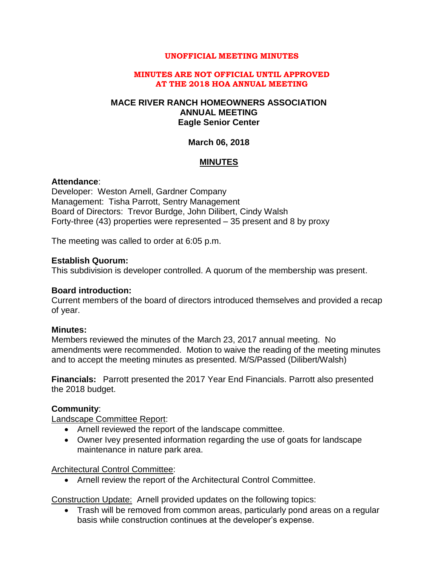#### **UNOFFICIAL MEETING MINUTES**

#### **MINUTES ARE NOT OFFICIAL UNTIL APPROVED AT THE 2018 HOA ANNUAL MEETING**

## **MACE RIVER RANCH HOMEOWNERS ASSOCIATION ANNUAL MEETING Eagle Senior Center**

#### **March 06, 2018**

## **MINUTES**

#### **Attendance**:

Developer: Weston Arnell, Gardner Company Management: Tisha Parrott, Sentry Management Board of Directors: Trevor Burdge, John Dilibert, Cindy Walsh Forty-three (43) properties were represented – 35 present and 8 by proxy

The meeting was called to order at 6:05 p.m.

#### **Establish Quorum:**

This subdivision is developer controlled. A quorum of the membership was present.

#### **Board introduction:**

Current members of the board of directors introduced themselves and provided a recap of year.

## **Minutes:**

Members reviewed the minutes of the March 23, 2017 annual meeting. No amendments were recommended. Motion to waive the reading of the meeting minutes and to accept the meeting minutes as presented. M/S/Passed (Dilibert/Walsh)

**Financials:** Parrott presented the 2017 Year End Financials. Parrott also presented the 2018 budget.

## **Community**:

Landscape Committee Report:

- Arnell reviewed the report of the landscape committee.
- Owner Ivey presented information regarding the use of goats for landscape maintenance in nature park area.

Architectural Control Committee:

Arnell review the report of the Architectural Control Committee.

Construction Update: Arnell provided updates on the following topics:

 Trash will be removed from common areas, particularly pond areas on a regular basis while construction continues at the developer's expense.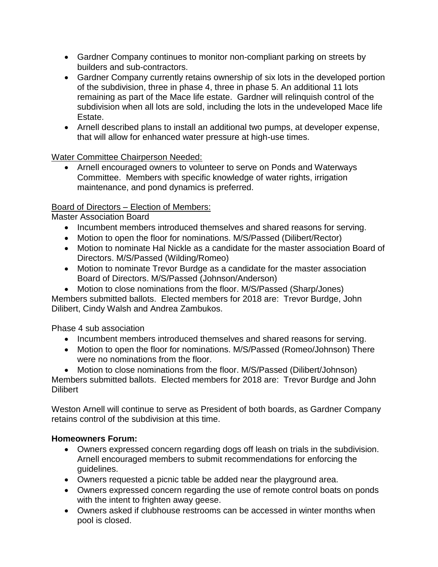- Gardner Company continues to monitor non-compliant parking on streets by builders and sub-contractors.
- Gardner Company currently retains ownership of six lots in the developed portion of the subdivision, three in phase 4, three in phase 5. An additional 11 lots remaining as part of the Mace life estate. Gardner will relinquish control of the subdivision when all lots are sold, including the lots in the undeveloped Mace life Estate.
- Arnell described plans to install an additional two pumps, at developer expense, that will allow for enhanced water pressure at high-use times.

Water Committee Chairperson Needed:

 Arnell encouraged owners to volunteer to serve on Ponds and Waterways Committee. Members with specific knowledge of water rights, irrigation maintenance, and pond dynamics is preferred.

## Board of Directors – Election of Members:

Master Association Board

- Incumbent members introduced themselves and shared reasons for serving.
- Motion to open the floor for nominations. M/S/Passed (Dilibert/Rector)
- Motion to nominate Hal Nickle as a candidate for the master association Board of Directors. M/S/Passed (Wilding/Romeo)
- Motion to nominate Trevor Burdge as a candidate for the master association Board of Directors. M/S/Passed (Johnson/Anderson)
- Motion to close nominations from the floor. M/S/Passed (Sharp/Jones)

Members submitted ballots. Elected members for 2018 are: Trevor Burdge, John Dilibert, Cindy Walsh and Andrea Zambukos.

Phase 4 sub association

- Incumbent members introduced themselves and shared reasons for serving.
- Motion to open the floor for nominations. M/S/Passed (Romeo/Johnson) There were no nominations from the floor.

 Motion to close nominations from the floor. M/S/Passed (Dilibert/Johnson) Members submitted ballots. Elected members for 2018 are: Trevor Burdge and John **Dilibert** 

Weston Arnell will continue to serve as President of both boards, as Gardner Company retains control of the subdivision at this time.

# **Homeowners Forum:**

- Owners expressed concern regarding dogs off leash on trials in the subdivision. Arnell encouraged members to submit recommendations for enforcing the guidelines.
- Owners requested a picnic table be added near the playground area.
- Owners expressed concern regarding the use of remote control boats on ponds with the intent to frighten away geese.
- Owners asked if clubhouse restrooms can be accessed in winter months when pool is closed.